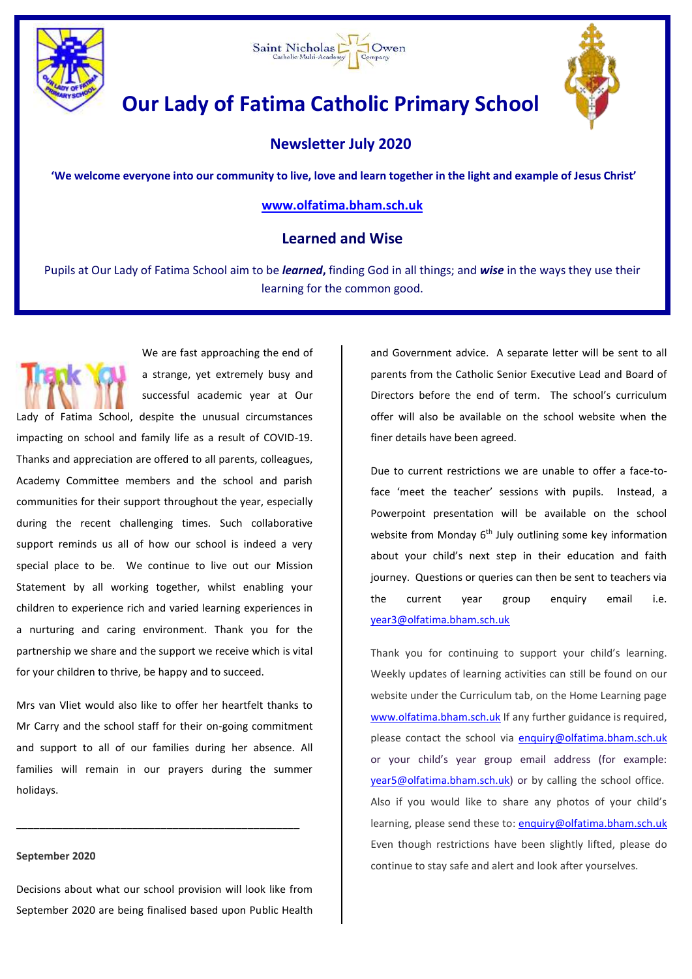



# **Our Lady of Fatima Catholic Primary School**



## **Newsletter July 2020**

**'We welcome everyone into our community to live, love and learn together in the light and example of Jesus Christ'**

## **[www.olfatima.bham.sch.uk](http://www.olfatima.bham.sch.uk/)**

## **Learned and Wise**

Pupils at Our Lady of Fatima School aim to be *learned***,** finding God in all things; and *wise* in the ways they use their learning for the common good.



We are fast approaching the end of a strange, yet extremely busy and successful academic year at Our

Lady of Fatima School, despite the unusual circumstances impacting on school and family life as a result of COVID-19. Thanks and appreciation are offered to all parents, colleagues, Academy Committee members and the school and parish communities for their support throughout the year, especially during the recent challenging times. Such collaborative support reminds us all of how our school is indeed a very special place to be. We continue to live out our Mission Statement by all working together, whilst enabling your children to experience rich and varied learning experiences in a nurturing and caring environment. Thank you for the partnership we share and the support we receive which is vital for your children to thrive, be happy and to succeed.

Mrs van Vliet would also like to offer her heartfelt thanks to Mr Carry and the school staff for their on-going commitment and support to all of our families during her absence. All families will remain in our prayers during the summer holidays.

\_\_\_\_\_\_\_\_\_\_\_\_\_\_\_\_\_\_\_\_\_\_\_\_\_\_\_\_\_\_\_\_\_\_\_\_\_\_\_\_\_\_\_\_\_\_\_\_\_

## **September 2020**

Decisions about what our school provision will look like from September 2020 are being finalised based upon Public Health and Government advice. A separate letter will be sent to all parents from the Catholic Senior Executive Lead and Board of Directors before the end of term. The school's curriculum offer will also be available on the school website when the finer details have been agreed.

Due to current restrictions we are unable to offer a face-toface 'meet the teacher' sessions with pupils. Instead, a Powerpoint presentation will be available on the school website from Monday 6<sup>th</sup> July outlining some key information about your child's next step in their education and faith journey. Questions or queries can then be sent to teachers via the current year group enquiry email i.e. [year3@olfatima.bham.sch.uk](mailto:year3@olfatima.bham.sch.uk)

Thank you for continuing to support your child's learning. Weekly updates of learning activities can still be found on our website under the Curriculum tab, on the Home Learning page [www.olfatima.bham.sch.uk](http://www.olfatima.bham.sch.uk/) If any further guidance is required, please contact the school via [enquiry@olfatima.bham.sch.uk](mailto:enquiry@olfatima.bham.sch.uk) or your child's year group email address (for example: [year5@olfatima.bham.sch.uk\)](mailto:year5@olfatima.bham.sch.uk) or by calling the school office. Also if you would like to share any photos of your child's learning, please send these to: [enquiry@olfatima.bham.sch.uk](mailto:enquiry@olfatima.bham.sch.uk) Even though restrictions have been slightly lifted, please do continue to stay safe and alert and look after yourselves.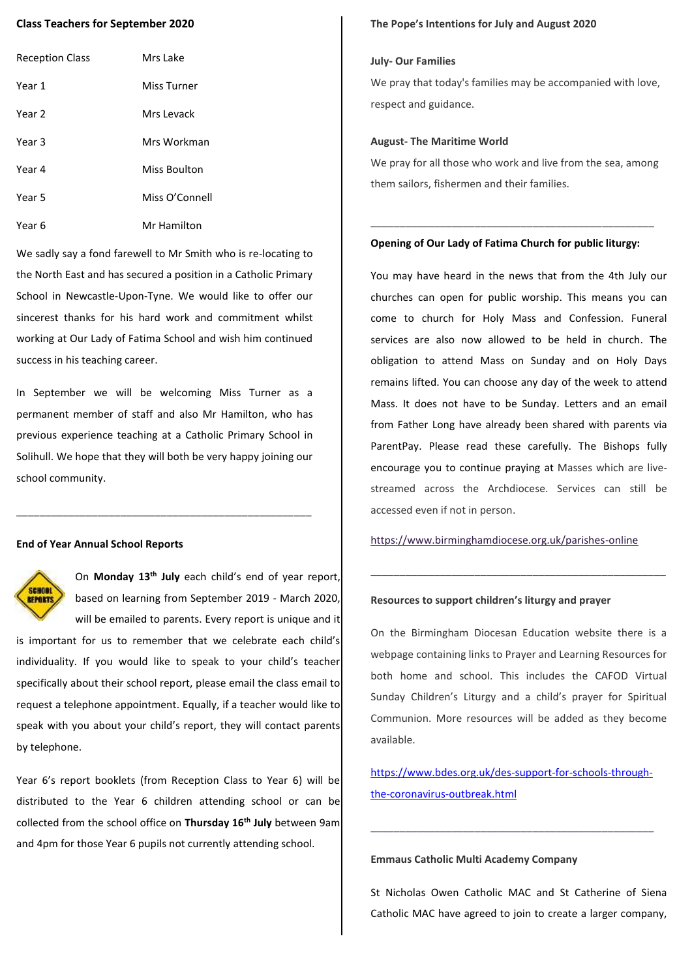## **Class Teachers for September 2020**

| <b>Reception Class</b> | Mrs Lake       |
|------------------------|----------------|
| Year 1                 | Miss Turner    |
| Year 2                 | Mrs Levack     |
| Year 3                 | Mrs Workman    |
| Year 4                 | Miss Boulton   |
| Year 5                 | Miss O'Connell |
| Year 6                 | Mr Hamilton    |

We sadly say a fond farewell to Mr Smith who is re-locating to the North East and has secured a position in a Catholic Primary School in Newcastle-Upon-Tyne. We would like to offer our sincerest thanks for his hard work and commitment whilst working at Our Lady of Fatima School and wish him continued success in his teaching career.

In September we will be welcoming Miss Turner as a permanent member of staff and also Mr Hamilton, who has previous experience teaching at a Catholic Primary School in Solihull. We hope that they will both be very happy joining our school community.

\_\_\_\_\_\_\_\_\_\_\_\_\_\_\_\_\_\_\_\_\_\_\_\_\_\_\_\_\_\_\_\_\_\_\_\_\_\_\_\_\_\_\_\_\_\_\_\_\_\_\_

### **End of Year Annual School Reports**



On **Monday 13th July** each child's end of year report, based on learning from September 2019 - March 2020, will be emailed to parents. Every report is unique and it

is important for us to remember that we celebrate each child's individuality. If you would like to speak to your child's teacher specifically about their school report, please email the class email to request a telephone appointment. Equally, if a teacher would like to speak with you about your child's report, they will contact parents by telephone.

Year 6's report booklets (from Reception Class to Year 6) will be distributed to the Year 6 children attending school or can be collected from the school office on **Thursday 16th July** between 9am and 4pm for those Year 6 pupils not currently attending school.

#### **The Pope's Intentions for July and August 2020**

#### **July- Our Families**

We pray that today's families may be accompanied with love, respect and guidance.

#### **August- The Maritime World**

We pray for all those who work and live from the sea, among them sailors, fishermen and their families.

## **Opening of Our Lady of Fatima Church for public liturgy:**

\_\_\_\_\_\_\_\_\_\_\_\_\_\_\_\_\_\_\_\_\_\_\_\_\_\_\_\_\_\_\_\_\_\_\_\_\_\_\_\_\_\_\_\_\_\_\_\_\_

You may have heard in the news that from the 4th July our churches can open for public worship. This means you can come to church for Holy Mass and Confession. Funeral services are also now allowed to be held in church. The obligation to attend Mass on Sunday and on Holy Days remains lifted. You can choose any day of the week to attend Mass. It does not have to be Sunday. Letters and an email from Father Long have already been shared with parents via ParentPay. Please read these carefully. The Bishops fully encourage you to continue praying at Masses which are livestreamed across the Archdiocese. Services can still be accessed even if not in person.

<https://www.birminghamdiocese.org.uk/parishes-online>

\_\_\_\_\_\_\_\_\_\_\_\_\_\_\_\_\_\_\_\_\_\_\_\_\_\_\_\_\_\_\_\_\_\_\_\_\_\_\_\_\_\_\_\_\_\_\_\_\_\_\_

## **Resources to support children's liturgy and prayer**

On the Birmingham Diocesan Education website there is a webpage containing links to Prayer and Learning Resources for both home and school. This includes the CAFOD Virtual Sunday Children's Liturgy and a child's prayer for Spiritual Communion. More resources will be added as they become available.

[https://www.bdes.org.uk/des-support-for-schools-through](https://www.bdes.org.uk/des-support-for-schools-through-the-coronavirus-outbreak.html)[the-coronavirus-outbreak.html](https://www.bdes.org.uk/des-support-for-schools-through-the-coronavirus-outbreak.html)

\_\_\_\_\_\_\_\_\_\_\_\_\_\_\_\_\_\_\_\_\_\_\_\_\_\_\_\_\_\_\_\_\_\_\_\_\_\_\_\_\_\_\_\_\_\_\_\_\_

## **Emmaus Catholic Multi Academy Company**

St Nicholas Owen Catholic MAC and St Catherine of Siena Catholic MAC have agreed to join to create a larger company,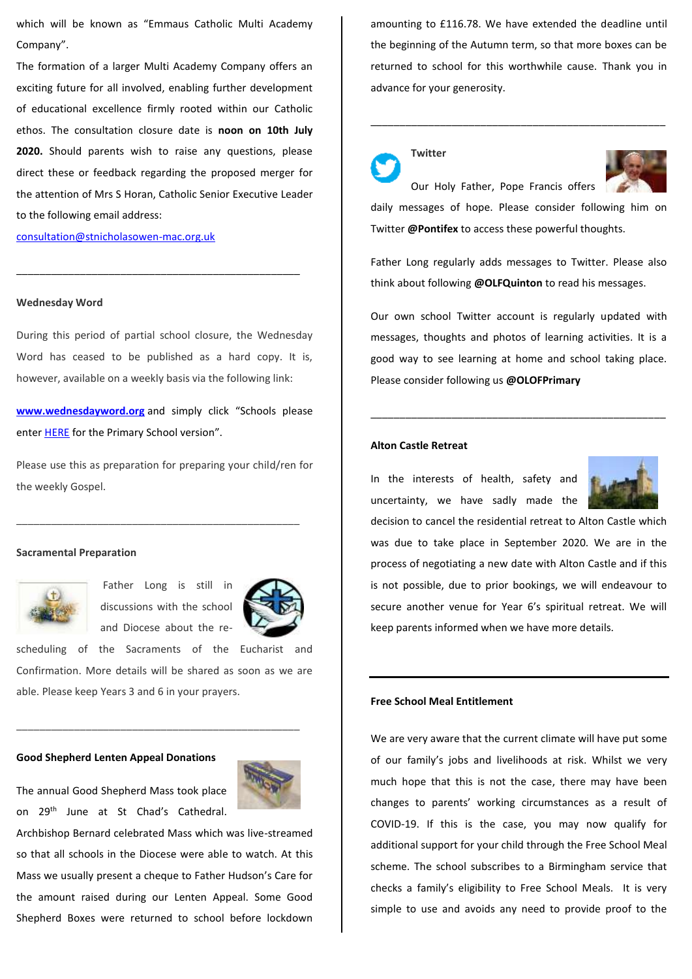which will be known as "Emmaus Catholic Multi Academy Company".

The formation of a larger Multi Academy Company offers an exciting future for all involved, enabling further development of educational excellence firmly rooted within our Catholic ethos. The consultation closure date is **noon on 10th July 2020.** Should parents wish to raise any questions, please direct these or feedback regarding the proposed merger for the attention of Mrs S Horan, Catholic Senior Executive Leader to the following email address:

[consultation@stnicholasowen-mac.org.uk](mailto:consultation@stnicholasowen-mac.org.uk)

#### **Wednesday Word**

During this period of partial school closure, the Wednesday Word has ceased to be published as a hard copy. It is, however, available on a weekly basis via the following link:

\_\_\_\_\_\_\_\_\_\_\_\_\_\_\_\_\_\_\_\_\_\_\_\_\_\_\_\_\_\_\_\_\_\_\_\_\_\_\_\_\_\_\_\_\_\_\_\_\_

**[www.wednesdayword.org](http://www.wednesdayword.org/)** and simply click "Schools please enter HERE for the Primary School version".

Please use this as preparation for preparing your child/ren for the weekly Gospel.

\_\_\_\_\_\_\_\_\_\_\_\_\_\_\_\_\_\_\_\_\_\_\_\_\_\_\_\_\_\_\_\_\_\_\_\_\_\_\_\_\_\_\_\_\_\_\_\_\_

### **Sacramental Preparation**



Father Long is still in discussions with the school and Diocese about the re-



scheduling of the Sacraments of the Eucharist and Confirmation. More details will be shared as soon as we are able. Please keep Years 3 and 6 in your prayers.

\_\_\_\_\_\_\_\_\_\_\_\_\_\_\_\_\_\_\_\_\_\_\_\_\_\_\_\_\_\_\_\_\_\_\_\_\_\_\_\_\_\_\_\_\_\_\_\_\_

## **Good Shepherd Lenten Appeal Donations**



Archbishop Bernard celebrated Mass which was live-streamed so that all schools in the Diocese were able to watch. At this Mass we usually present a cheque to Father Hudson's Care for the amount raised during our Lenten Appeal. Some Good Shepherd Boxes were returned to school before lockdown

amounting to £116.78. We have extended the deadline until the beginning of the Autumn term, so that more boxes can be returned to school for this worthwhile cause. Thank you in advance for your generosity.

\_\_\_\_\_\_\_\_\_\_\_\_\_\_\_\_\_\_\_\_\_\_\_\_\_\_\_\_\_\_\_\_\_\_\_\_\_\_\_\_\_\_\_\_\_\_\_\_\_\_\_

**Twitter**



daily messages of hope. Please consider following him on Twitter **@Pontifex** to access these powerful thoughts.

Father Long regularly adds messages to Twitter. Please also think about following **@OLFQuinton** to read his messages.

Our own school Twitter account is regularly updated with messages, thoughts and photos of learning activities. It is a good way to see learning at home and school taking place. Please consider following us **@OLOFPrimary**

\_\_\_\_\_\_\_\_\_\_\_\_\_\_\_\_\_\_\_\_\_\_\_\_\_\_\_\_\_\_\_\_\_\_\_\_\_\_\_\_\_\_\_\_\_\_\_\_\_\_\_

## **Alton Castle Retreat**

In the interests of health, safety and uncertainty, we have sadly made the



decision to cancel the residential retreat to Alton Castle which was due to take place in September 2020. We are in the process of negotiating a new date with Alton Castle and if this is not possible, due to prior bookings, we will endeavour to secure another venue for Year 6's spiritual retreat. We will keep parents informed when we have more details.

### **Free School Meal Entitlement**

We are very aware that the current climate will have put some of our family's jobs and livelihoods at risk. Whilst we very much hope that this is not the case, there may have been changes to parents' working circumstances as a result of COVID-19. If this is the case, you may now qualify for additional support for your child through the Free School Meal scheme. The school subscribes to a Birmingham service that checks a family's eligibility to Free School Meals. It is very simple to use and avoids any need to provide proof to the